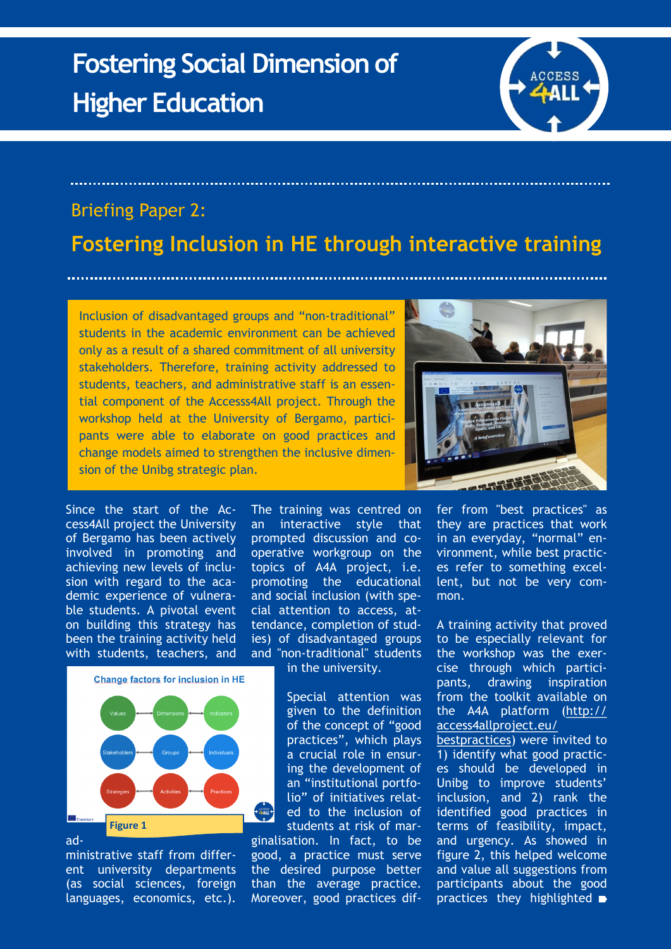

## Briefing Paper 2:

## **Fostering Inclusion in HE through interactive training**

Inclusion of disadvantaged groups and "non-traditional" students in the academic environment can be achieved only as a result of a shared commitment of all university stakeholders. Therefore, training activity addressed to students, teachers, and administrative staff is an essential component of the Accesss4All project. Through the workshop held at the University of Bergamo, participants were able to elaborate on good practices and change models aimed to strengthen the inclusive dimension of the Unibg strategic plan.



Since the start of the Access4All project the University of Bergamo has been actively involved in promoting and achieving new levels of inclusion with regard to the academic experience of vulnerable students. A pivotal event on building this strategy has been the training activity held with students, teachers, and

**Change factors for inclusion in HE** 

ministrative staff from different university departments (as social sciences, foreign languages, economics, etc.).

**Figure 1**

ad-





Special attention was given to the definition of the concept of "good practices", which plays a crucial role in ensuring the development of an "institutional portfolio" of initiatives related to the inclusion of students at risk of marginalisation. In fact, to be

good, a practice must serve the desired purpose better than the average practice. Moreover, good practices differ from "best practices" as they are practices that work in an everyday, "normal" environment, while best practices refer to something excellent, but not be very common.

A training activity that proved to be especially relevant for the workshop was the exercise through which participants, drawing inspiration from the toolkit available on the A4A platform [\(http://](http://access4allproject.eu/bestpractices) [access4allproject.eu/](http://access4allproject.eu/bestpractices)

[bestpractices\)](http://access4allproject.eu/bestpractices) were invited to 1) identify what good practices should be developed in Unibg to improve students' inclusion, and 2) rank the identified good practices in terms of feasibility, impact, and urgency. As showed in figure 2, this helped welcome and value all suggestions from participants about the good practices they highlighted